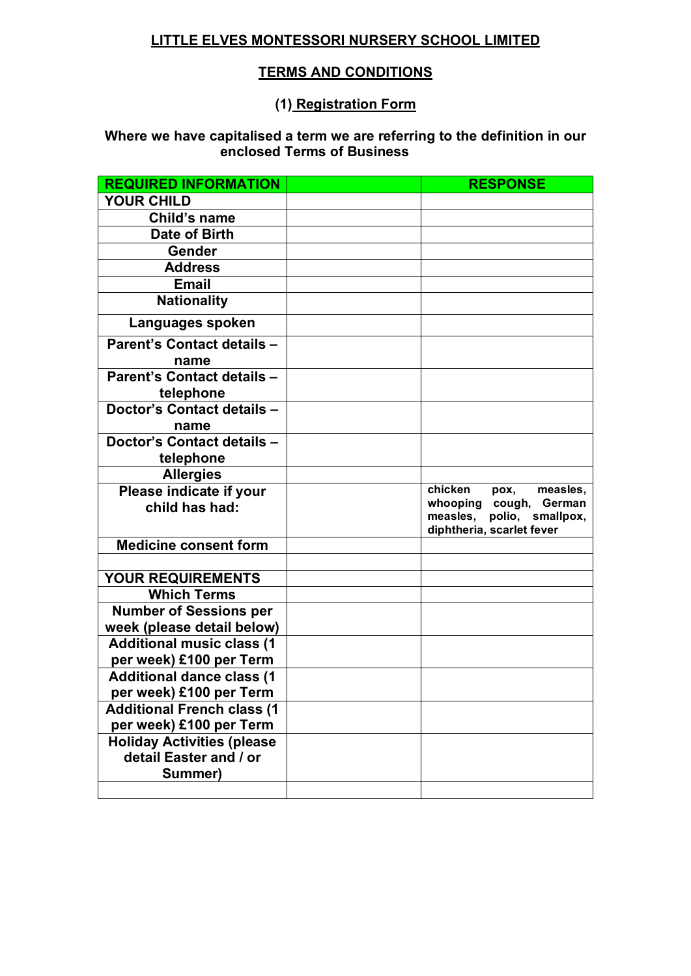#### **LITTLE ELVES MONTESSORI NURSERY SCHOOL LIMITED**

#### **TERMS AND CONDITIONS**

#### **(1) Registration Form**

#### **Where we have capitalised a term we are referring to the definition in our enclosed Terms of Business**

| <b>REQUIRED INFORMATION</b>       | <b>RESPONSE</b>                                           |
|-----------------------------------|-----------------------------------------------------------|
| <b>YOUR CHILD</b>                 |                                                           |
| Child's name                      |                                                           |
| Date of Birth                     |                                                           |
| Gender                            |                                                           |
| <b>Address</b>                    |                                                           |
| <b>Email</b>                      |                                                           |
| <b>Nationality</b>                |                                                           |
| Languages spoken                  |                                                           |
| Parent's Contact details -        |                                                           |
| name                              |                                                           |
| Parent's Contact details -        |                                                           |
| telephone                         |                                                           |
| Doctor's Contact details -        |                                                           |
| name                              |                                                           |
| Doctor's Contact details -        |                                                           |
| telephone                         |                                                           |
| <b>Allergies</b>                  |                                                           |
| Please indicate if your           | chicken<br>pox,<br>measles,                               |
| child has had:                    | cough, German<br>whooping<br>measles,<br>polio, smallpox, |
|                                   | diphtheria, scarlet fever                                 |
| <b>Medicine consent form</b>      |                                                           |
|                                   |                                                           |
| <b>YOUR REQUIREMENTS</b>          |                                                           |
| <b>Which Terms</b>                |                                                           |
| <b>Number of Sessions per</b>     |                                                           |
| week (please detail below)        |                                                           |
| <b>Additional music class (1</b>  |                                                           |
| per week) £100 per Term           |                                                           |
| <b>Additional dance class (1</b>  |                                                           |
| per week) £100 per Term           |                                                           |
| <b>Additional French class (1</b> |                                                           |
| per week) £100 per Term           |                                                           |
| <b>Holiday Activities (please</b> |                                                           |
| detail Easter and / or            |                                                           |
| Summer)                           |                                                           |
|                                   |                                                           |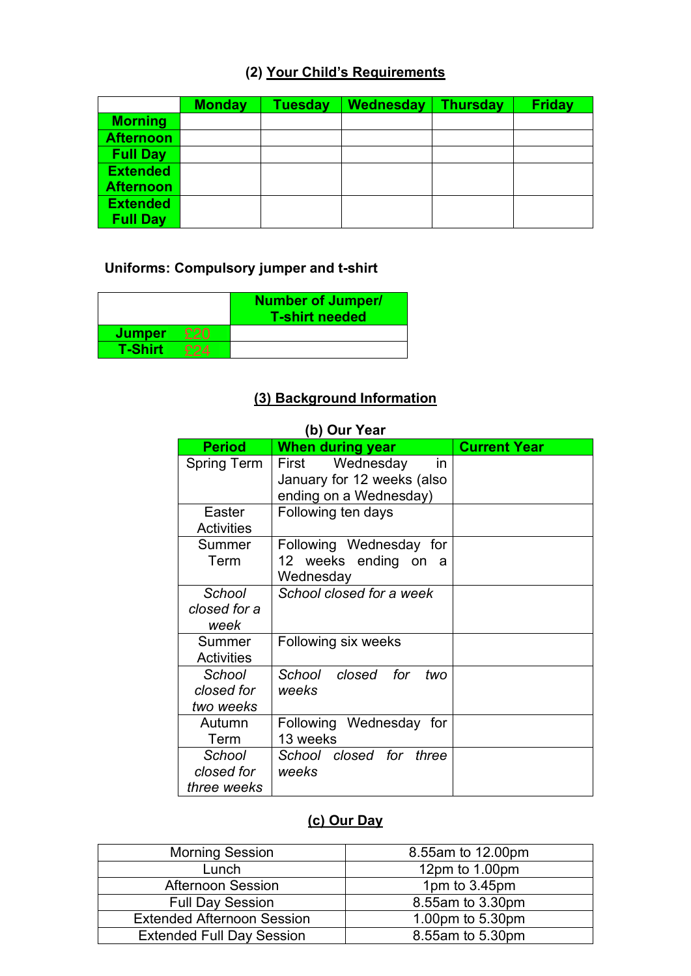# **(2) Your Child's Requirements**

|                  | <b>Monday</b> | Tuesday | Wednesday | <b>Thursday</b> | <b>Friday</b> |
|------------------|---------------|---------|-----------|-----------------|---------------|
| <b>Morning</b>   |               |         |           |                 |               |
| <b>Afternoon</b> |               |         |           |                 |               |
| <b>Full Day</b>  |               |         |           |                 |               |
| <b>Extended</b>  |               |         |           |                 |               |
| <b>Afternoon</b> |               |         |           |                 |               |
| <b>Extended</b>  |               |         |           |                 |               |
| <b>Full Day</b>  |               |         |           |                 |               |

# **Uniforms: Compulsory jumper and t-shirt**

|                | <b>Number of Jumper/</b><br><b>T-shirt needed</b> |
|----------------|---------------------------------------------------|
| <b>Jumper</b>  |                                                   |
| <b>T-Shirt</b> |                                                   |

#### **(3) Background Information**

|                                     | (b) Our Year                                                                      |                     |
|-------------------------------------|-----------------------------------------------------------------------------------|---------------------|
| <b>Period</b>                       | <b>When during year</b>                                                           | <b>Current Year</b> |
| <b>Spring Term</b>                  | Wednesday<br>First<br>in.<br>January for 12 weeks (also<br>ending on a Wednesday) |                     |
| Easter<br><b>Activities</b>         | Following ten days                                                                |                     |
| Summer<br>Term                      | Following Wednesday for<br>12 weeks ending on a<br>Wednesday                      |                     |
| School<br>closed for a<br>week      | School closed for a week                                                          |                     |
| Summer<br><b>Activities</b>         | Following six weeks                                                               |                     |
| School<br>closed for<br>two weeks   | School closed<br>for<br>two<br>weeks                                              |                     |
| Autumn<br>Term                      | Following Wednesday for<br>13 weeks                                               |                     |
| School<br>closed for<br>three weeks | School closed for three<br>weeks                                                  |                     |

# **(c) Our Day**

| <b>Morning Session</b>            | 8.55am to 12.00pm |
|-----------------------------------|-------------------|
| Lunch                             | 12pm to 1.00pm    |
| <b>Afternoon Session</b>          | 1pm to 3.45pm     |
| <b>Full Day Session</b>           | 8.55am to 3.30pm  |
| <b>Extended Afternoon Session</b> | 1.00pm to 5.30pm  |
| <b>Extended Full Day Session</b>  | 8.55am to 5.30pm  |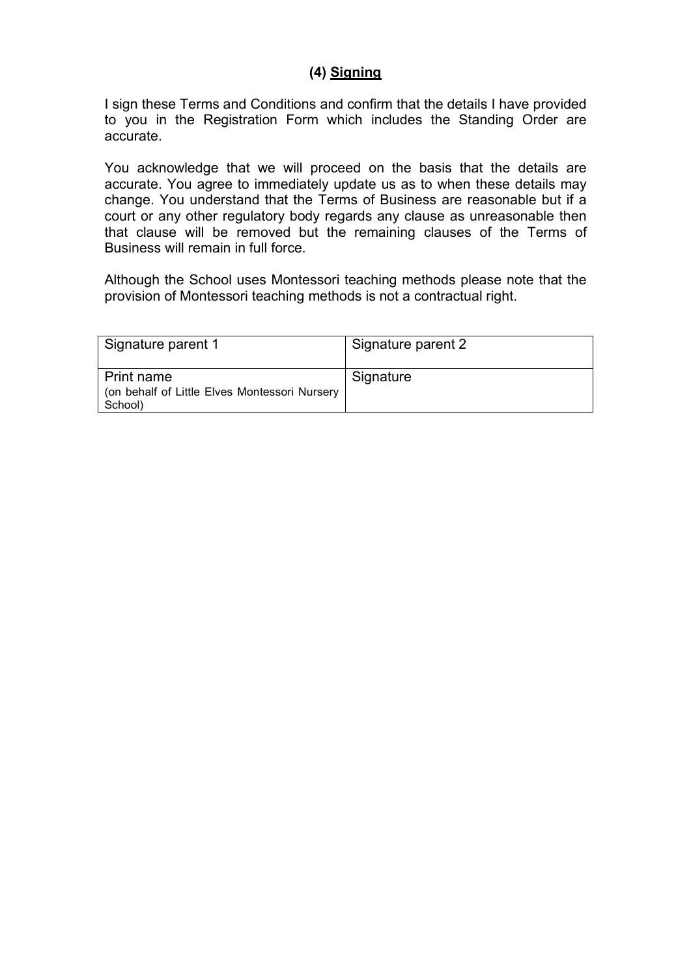#### **(4) Signing**

I sign these Terms and Conditions and confirm that the details I have provided to you in the Registration Form which includes the Standing Order are accurate.

You acknowledge that we will proceed on the basis that the details are accurate. You agree to immediately update us as to when these details may change. You understand that the Terms of Business are reasonable but if a court or any other regulatory body regards any clause as unreasonable then that clause will be removed but the remaining clauses of the Terms of Business will remain in full force.

Although the School uses Montessori teaching methods please note that the provision of Montessori teaching methods is not a contractual right.

| Signature parent 1                                                     | Signature parent 2 |
|------------------------------------------------------------------------|--------------------|
| Print name<br>(on behalf of Little Elves Montessori Nursery<br>School) | Signature          |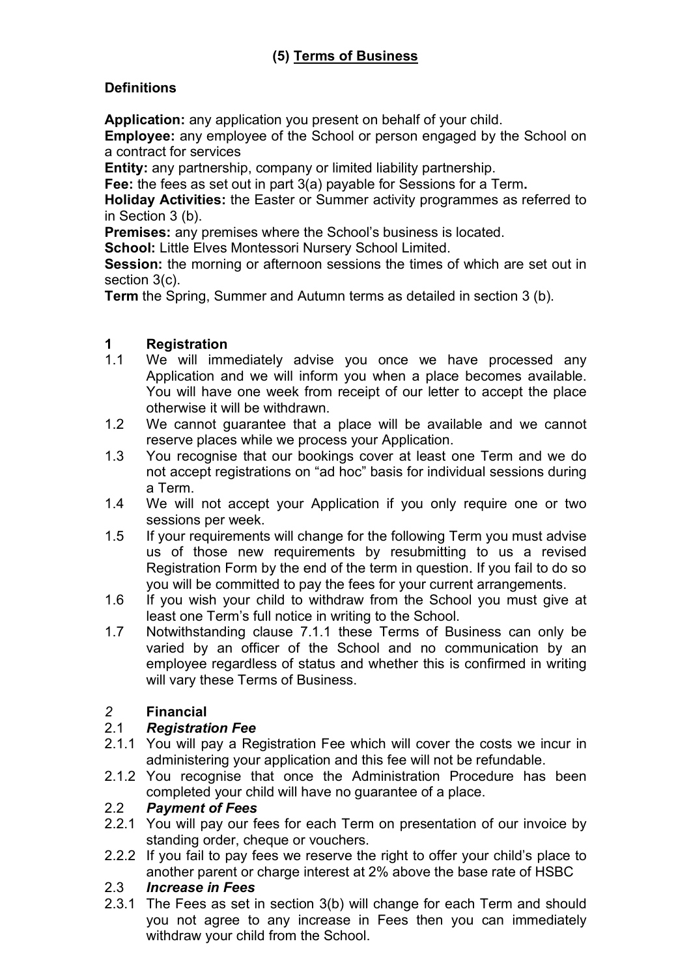# **(5) Terms of Business**

#### **Definitions**

**Application:** any application you present on behalf of your child.

**Employee:** any employee of the School or person engaged by the School on a contract for services

**Entity:** any partnership, company or limited liability partnership.

**Fee:** the fees as set out in part 3(a) payable for Sessions for a Term**.** 

**Holiday Activities:** the Easter or Summer activity programmes as referred to in Section 3 (b).

**Premises:** any premises where the School's business is located.

**School:** Little Elves Montessori Nursery School Limited.

**Session:** the morning or afternoon sessions the times of which are set out in section 3(c).

**Term** the Spring, Summer and Autumn terms as detailed in section 3 (b).

#### **1 Registration**

- 1.1 We will immediately advise you once we have processed any Application and we will inform you when a place becomes available. You will have one week from receipt of our letter to accept the place otherwise it will be withdrawn.
- 1.2 We cannot guarantee that a place will be available and we cannot reserve places while we process your Application.
- 1.3 You recognise that our bookings cover at least one Term and we do not accept registrations on "ad hoc" basis for individual sessions during a Term.
- 1.4 We will not accept your Application if you only require one or two sessions per week.
- 1.5 If your requirements will change for the following Term you must advise us of those new requirements by resubmitting to us a revised Registration Form by the end of the term in question. If you fail to do so you will be committed to pay the fees for your current arrangements.
- 1.6 If you wish your child to withdraw from the School you must give at least one Term's full notice in writing to the School.
- 1.7 Notwithstanding clause 7.1.1 these Terms of Business can only be varied by an officer of the School and no communication by an employee regardless of status and whether this is confirmed in writing will vary these Terms of Business.

#### *2* **Financial**

#### 2.1 *Registration Fee*

- 2.1.1 You will pay a Registration Fee which will cover the costs we incur in administering your application and this fee will not be refundable.
- 2.1.2 You recognise that once the Administration Procedure has been completed your child will have no guarantee of a place.

#### 2.2 *Payment of Fees*

- 2.2.1 You will pay our fees for each Term on presentation of our invoice by standing order, cheque or vouchers.
- 2.2.2 If you fail to pay fees we reserve the right to offer your child's place to another parent or charge interest at 2% above the base rate of HSBC

#### 2.3 *Increase in Fees*

2.3.1 The Fees as set in section 3(b) will change for each Term and should you not agree to any increase in Fees then you can immediately withdraw your child from the School.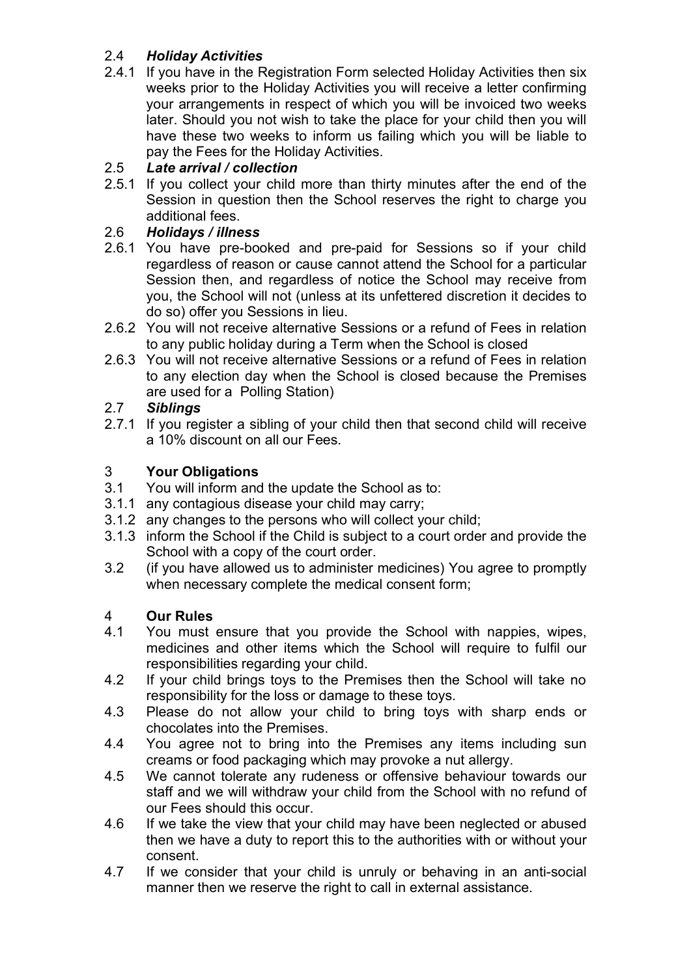# 2.4 *Holiday Activities*

2.4.1 If you have in the Registration Form selected Holiday Activities then six weeks prior to the Holiday Activities you will receive a letter confirming your arrangements in respect of which you will be invoiced two weeks later. Should you not wish to take the place for your child then you will have these two weeks to inform us failing which you will be liable to pay the Fees for the Holiday Activities.

# 2.5 *Late arrival / collection*

2.5.1 If you collect your child more than thirty minutes after the end of the Session in question then the School reserves the right to charge you additional fees.

## 2.6 *Holidays / illness*

- 2.6.1 You have pre-booked and pre-paid for Sessions so if your child regardless of reason or cause cannot attend the School for a particular Session then, and regardless of notice the School may receive from you, the School will not (unless at its unfettered discretion it decides to do so) offer you Sessions in lieu.
- 2.6.2 You will not receive alternative Sessions or a refund of Fees in relation to any public holiday during a Term when the School is closed
- 2.6.3 You will not receive alternative Sessions or a refund of Fees in relation to any election day when the School is closed because the Premises are used for a Polling Station)

# 2.7 *Siblings*

2.7.1 If you register a sibling of your child then that second child will receive a 10% discount on all our Fees.

## 3 **Your Obligations**

- 3.1 You will inform and the update the School as to:
- 3.1.1 any contagious disease your child may carry;
- 3.1.2 any changes to the persons who will collect your child;
- 3.1.3 inform the School if the Child is subject to a court order and provide the School with a copy of the court order.
- 3.2 (if you have allowed us to administer medicines) You agree to promptly when necessary complete the medical consent form;

## 4 **Our Rules**

- 4.1 You must ensure that you provide the School with nappies, wipes, medicines and other items which the School will require to fulfil our responsibilities regarding your child.
- 4.2 If your child brings toys to the Premises then the School will take no responsibility for the loss or damage to these toys.
- 4.3 Please do not allow your child to bring toys with sharp ends or chocolates into the Premises.
- 4.4 You agree not to bring into the Premises any items including sun creams or food packaging which may provoke a nut allergy.
- 4.5 We cannot tolerate any rudeness or offensive behaviour towards our staff and we will withdraw your child from the School with no refund of our Fees should this occur.
- 4.6 If we take the view that your child may have been neglected or abused then we have a duty to report this to the authorities with or without your consent.
- 4.7 If we consider that your child is unruly or behaving in an anti-social manner then we reserve the right to call in external assistance.